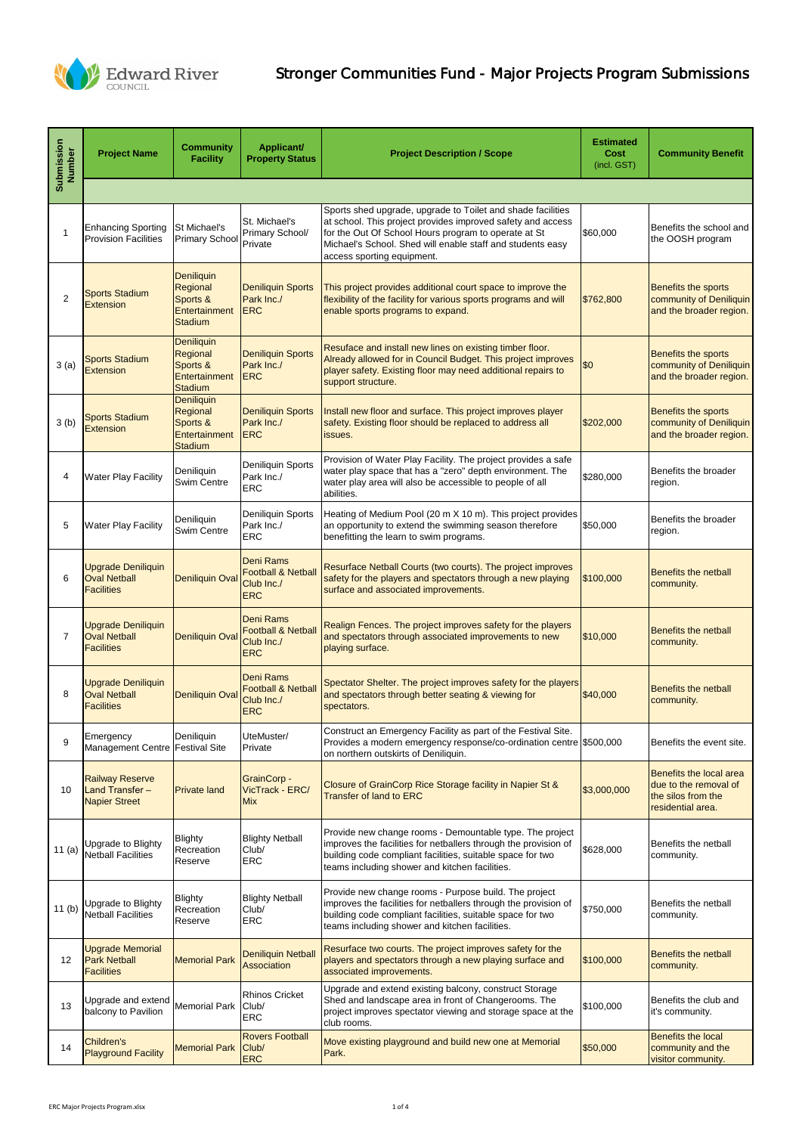| Submission<br>Number | <b>Project Name</b>                                                     | <b>Community</b><br><b>Facility</b>                                          | Applicant/<br><b>Property Status</b>                                          | <b>Project Description / Scope</b>                                                                                                                                                                                                                                             | <b>Estimated</b><br><b>Cost</b><br>(incl. GST) | <b>Community Benefit</b>                                                                    |  |  |
|----------------------|-------------------------------------------------------------------------|------------------------------------------------------------------------------|-------------------------------------------------------------------------------|--------------------------------------------------------------------------------------------------------------------------------------------------------------------------------------------------------------------------------------------------------------------------------|------------------------------------------------|---------------------------------------------------------------------------------------------|--|--|
|                      |                                                                         |                                                                              |                                                                               |                                                                                                                                                                                                                                                                                |                                                |                                                                                             |  |  |
|                      | <b>Enhancing Sporting</b><br><b>Provision Facilities</b>                | St Michael's<br><b>Primary School</b>                                        | St. Michael's<br>Primary School/<br>Private                                   | Sports shed upgrade, upgrade to Toilet and shade facilities<br>at school. This project provides improved safety and access<br>for the Out Of School Hours program to operate at St<br>Michael's School. Shed will enable staff and students easy<br>access sporting equipment. | \$60,000                                       | Benefits the school and<br>the OOSH program                                                 |  |  |
| $\overline{2}$       | <b>Sports Stadium</b><br><b>Extension</b>                               | <b>Deniliquin</b><br>Regional<br>Sports &<br>Entertainment<br><b>Stadium</b> | <b>Deniliquin Sports</b><br>Park Inc./<br><b>ERC</b>                          | This project provides additional court space to improve the<br>flexibility of the facility for various sports programs and will<br>enable sports programs to expand.                                                                                                           | \$762,800                                      | Benefits the sports<br>community of Deniliquin<br>and the broader region.                   |  |  |
| 3(a)                 | <b>Sports Stadium</b><br><b>Extension</b>                               | Deniliquin<br>Regional<br>Sports &<br>Entertainment<br><b>Stadium</b>        | <b>Deniliquin Sports</b><br>Park Inc./<br><b>ERC</b>                          | Resuface and install new lines on existing timber floor.<br>Already allowed for in Council Budget. This project improves<br>player safety. Existing floor may need additional repairs to<br>support structure.                                                                 | \$0                                            | Benefits the sports<br>community of Deniliquin<br>and the broader region.                   |  |  |
| 3(b)                 | <b>Sports Stadium</b><br><b>Extension</b>                               | <b>Deniliquin</b><br>Regional<br>Sports &<br>Entertainment<br><b>Stadium</b> | <b>Deniliquin Sports</b><br>Park Inc./<br><b>ERC</b>                          | Install new floor and surface. This project improves player<br>safety. Existing floor should be replaced to address all<br>issues.                                                                                                                                             | \$202,000                                      | Benefits the sports<br>community of Deniliquin<br>and the broader region.                   |  |  |
| 4                    | <b>Water Play Facility</b>                                              | Deniliquin<br>Swim Centre                                                    | Deniliquin Sports<br>Park Inc./<br><b>ERC</b>                                 | Provision of Water Play Facility. The project provides a safe<br>water play space that has a "zero" depth environment. The<br>water play area will also be accessible to people of all<br>abilities.                                                                           | \$280,000                                      | Benefits the broader<br>region.                                                             |  |  |
| 5                    | <b>Water Play Facility</b>                                              | Deniliquin<br>Swim Centre                                                    | <b>Deniliquin Sports</b><br>Park Inc./<br><b>ERC</b>                          | Heating of Medium Pool (20 m X 10 m). This project provides<br>an opportunity to extend the swimming season therefore<br>benefitting the learn to swim programs.                                                                                                               | \$50,000                                       | Benefits the broader<br>region.                                                             |  |  |
| 6                    | <b>Upgrade Deniliquin</b><br><b>Oval Netball</b><br><b>Facilities</b>   | <b>Deniliquin Oval</b>                                                       | <b>Deni Rams</b><br><b>Football &amp; Netball</b><br>Club Inc./<br><b>ERC</b> | Resurface Netball Courts (two courts). The project improves<br>safety for the players and spectators through a new playing<br>surface and associated improvements.                                                                                                             | \$100,000                                      | <b>Benefits the netball</b><br>community.                                                   |  |  |
| $\overline{7}$       | <b>Upgrade Deniliquin</b><br><b>Oval Netball</b><br><b>Facilities</b>   | <b>Deniliquin Oval</b>                                                       | <b>Deni Rams</b><br><b>Football &amp; Netball</b><br>Club Inc./<br><b>ERC</b> | Realign Fences. The project improves safety for the players<br>and spectators through associated improvements to new<br>playing surface.                                                                                                                                       | \$10,000                                       | <b>Benefits the netball</b><br>community.                                                   |  |  |
| 8                    | <b>Upgrade Deniliquin</b><br><b>Oval Netball</b><br><b>Facilities</b>   | <b>Deniliquin Oval</b>                                                       | <b>Deni Rams</b><br><b>Football &amp; Netball</b><br>Club Inc./<br><b>ERC</b> | Spectator Shelter. The project improves safety for the players<br>and spectators through better seating & viewing for<br>spectators.                                                                                                                                           | \$40,000                                       | <b>Benefits the netball</b><br>community.                                                   |  |  |
| 9                    | Emergency<br>Management Centre Festival Site                            | Deniliquin                                                                   | UteMuster/<br>Private                                                         | Construct an Emergency Facility as part of the Festival Site.<br>Provides a modern emergency response/co-ordination centre \$500,000<br>on northern outskirts of Deniliquin.                                                                                                   |                                                | Benefits the event site.                                                                    |  |  |
| 10                   | <b>Railway Reserve</b><br><b>Land Transfer-</b><br><b>Napier Street</b> | <b>Private land</b>                                                          | <b>GrainCorp -</b><br>VicTrack - ERC/<br><b>Mix</b>                           | Closure of GrainCorp Rice Storage facility in Napier St &<br><b>Transfer of land to ERC</b>                                                                                                                                                                                    | \$3,000,000                                    | Benefits the local area<br>due to the removal of<br>the silos from the<br>residential area. |  |  |
| 11(a)                | Upgrade to Blighty<br><b>Netball Facilities</b>                         | <b>Blighty</b><br>Recreation<br>Reserve                                      | <b>Blighty Netball</b><br>Club/<br><b>ERC</b>                                 | Provide new change rooms - Demountable type. The project<br>improves the facilities for netballers through the provision of<br>building code compliant facilities, suitable space for two<br>teams including shower and kitchen facilities.                                    | \$628,000                                      | Benefits the netball<br>community.                                                          |  |  |
| 11(b)                | Upgrade to Blighty<br><b>Netball Facilities</b>                         | <b>Blighty</b><br>Recreation<br>Reserve                                      | <b>Blighty Netball</b><br>Club/<br><b>ERC</b>                                 | Provide new change rooms - Purpose build. The project<br>improves the facilities for netballers through the provision of<br>building code compliant facilities, suitable space for two<br>teams including shower and kitchen facilities.                                       | \$750,000                                      | Benefits the netball<br>community.                                                          |  |  |
| 12                   | <b>Upgrade Memorial</b><br><b>Park Netball</b><br><b>Facilities</b>     | <b>Memorial Park</b>                                                         | <b>Deniliquin Netball</b><br><b>Association</b>                               | Resurface two courts. The project improves safety for the<br>players and spectators through a new playing surface and<br>associated improvements.                                                                                                                              | \$100,000                                      | <b>Benefits the netball</b><br>community.                                                   |  |  |
| 13                   | Upgrade and extend<br>balcony to Pavilion                               | <b>Memorial Park</b>                                                         | <b>Rhinos Cricket</b><br>Club/<br><b>ERC</b>                                  | Upgrade and extend existing balcony, construct Storage<br>Shed and landscape area in front of Changerooms. The<br>project improves spectator viewing and storage space at the<br>club rooms.                                                                                   | \$100,000                                      | Benefits the club and<br>it's community.                                                    |  |  |
| 14                   | Children's<br><b>Playground Facility</b>                                | <b>Memorial Park</b>                                                         | <b>Rovers Football</b><br>Club/<br><b>ERC</b>                                 | Move existing playground and build new one at Memorial<br>Park.                                                                                                                                                                                                                | \$50,000                                       | <b>Benefits the local</b><br>community and the<br>visitor community.                        |  |  |



## Stronger Communities Fund - Major Projects Program Submissions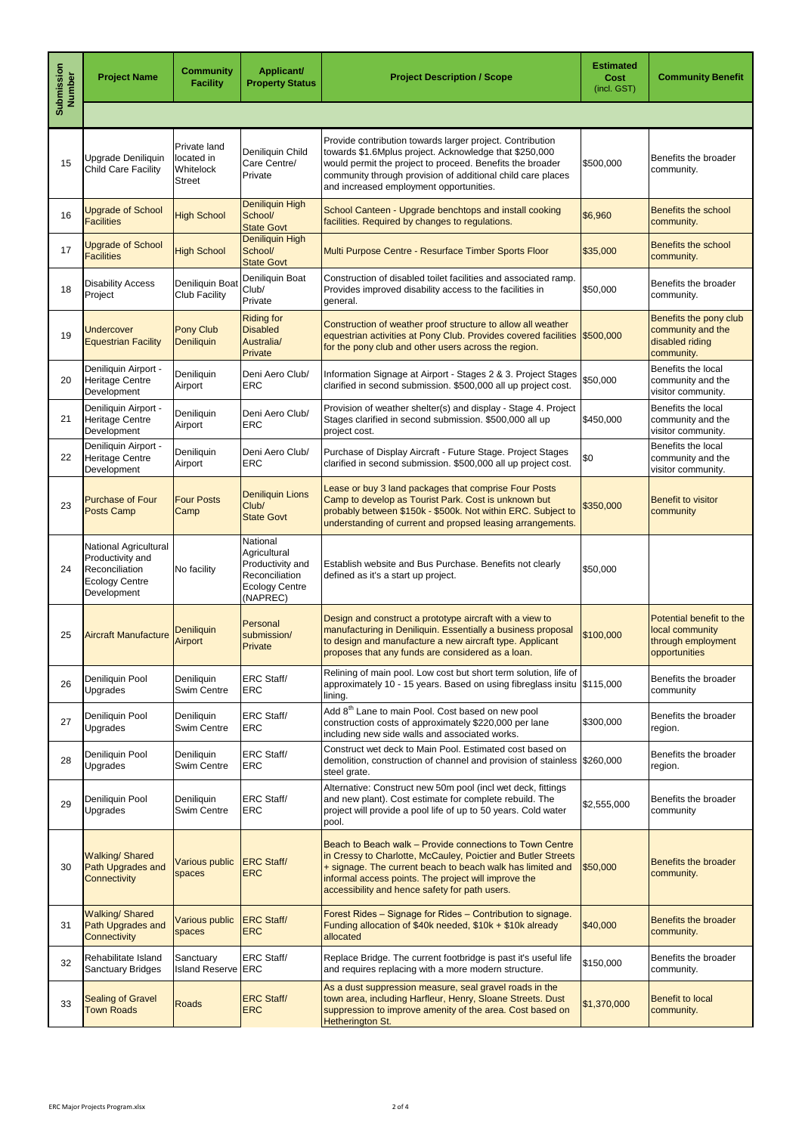| Submission<br>Number | <b>Project Name</b>                                                                                 | <b>Community</b><br><b>Facility</b>                      | <b>Applicant/</b><br><b>Property Status</b>                                                         | <b>Project Description / Scope</b>                                                                                                                                                                                                                                                                | <b>Estimated</b><br>Cost<br>(incl. GST) | <b>Community Benefit</b>                                                           |
|----------------------|-----------------------------------------------------------------------------------------------------|----------------------------------------------------------|-----------------------------------------------------------------------------------------------------|---------------------------------------------------------------------------------------------------------------------------------------------------------------------------------------------------------------------------------------------------------------------------------------------------|-----------------------------------------|------------------------------------------------------------------------------------|
|                      |                                                                                                     |                                                          |                                                                                                     |                                                                                                                                                                                                                                                                                                   |                                         |                                                                                    |
| 15                   | Upgrade Deniliquin<br><b>Child Care Facility</b>                                                    | Private land<br>located in<br>Whitelock<br><b>Street</b> | Deniliquin Child<br>Care Centre/<br>Private                                                         | Provide contribution towards larger project. Contribution<br>towards \$1.6Mplus project. Acknowledge that \$250,000<br>would permit the project to proceed. Benefits the broader<br>community through provision of additional child care places<br>and increased employment opportunities.        | \$500,000                               | Benefits the broader<br>community.                                                 |
| 16                   | <b>Upgrade of School</b><br><b>Facilities</b>                                                       | <b>High School</b>                                       | Deniliquin High<br>School/<br><b>State Govt</b>                                                     | School Canteen - Upgrade benchtops and install cooking<br>facilities. Required by changes to regulations.                                                                                                                                                                                         | \$6,960                                 | <b>Benefits the school</b><br>community.                                           |
| 17                   | <b>Upgrade of School</b><br><b>Facilities</b>                                                       | <b>High School</b>                                       | Deniliquin High<br>School/<br><b>State Govt</b>                                                     | Multi Purpose Centre - Resurface Timber Sports Floor                                                                                                                                                                                                                                              | \$35,000                                | Benefits the school<br>community.                                                  |
| 18                   | <b>Disability Access</b><br>Project                                                                 | Deniliquin Boat<br><b>Club Facility</b>                  | Deniliquin Boat<br>Club/<br>Private                                                                 | Construction of disabled toilet facilities and associated ramp.<br>Provides improved disability access to the facilities in<br>general.                                                                                                                                                           | \$50,000                                | Benefits the broader<br>community.                                                 |
| 19                   | Undercover<br><b>Equestrian Facility</b>                                                            | <b>Pony Club</b><br><b>Deniliquin</b>                    | <b>Riding for</b><br><b>Disabled</b><br>Australia/<br>Private                                       | Construction of weather proof structure to allow all weather<br>equestrian activities at Pony Club. Provides covered facilities \$500,000<br>for the pony club and other users across the region.                                                                                                 |                                         | Benefits the pony club<br>community and the<br>disabled riding<br>community.       |
| 20                   | Deniliquin Airport -<br><b>Heritage Centre</b><br>Development                                       | Deniliquin<br>Airport                                    | Deni Aero Club/<br><b>ERC</b>                                                                       | Information Signage at Airport - Stages 2 & 3. Project Stages<br>clarified in second submission. \$500,000 all up project cost.                                                                                                                                                                   | \$50,000                                | Benefits the local<br>community and the<br>visitor community.                      |
| 21                   | Deniliquin Airport -<br><b>Heritage Centre</b><br>Development                                       | Deniliquin<br>Airport                                    | Deni Aero Club/<br><b>ERC</b>                                                                       | Provision of weather shelter(s) and display - Stage 4. Project<br>Stages clarified in second submission. \$500,000 all up<br>project cost.                                                                                                                                                        | \$450,000                               | Benefits the local<br>community and the<br>visitor community.                      |
| 22                   | Deniliquin Airport -<br><b>Heritage Centre</b><br>Development                                       | Deniliquin<br>Airport                                    | Deni Aero Club/<br><b>ERC</b>                                                                       | Purchase of Display Aircraft - Future Stage. Project Stages<br>clarified in second submission. \$500,000 all up project cost.                                                                                                                                                                     | \$0                                     | Benefits the local<br>community and the<br>visitor community.                      |
| 23                   | <b>Purchase of Four</b><br><b>Posts Camp</b>                                                        | <b>Four Posts</b><br>Camp                                | <b>Deniliquin Lions</b><br>Club/<br><b>State Govt</b>                                               | Lease or buy 3 land packages that comprise Four Posts<br>Camp to develop as Tourist Park. Cost is unknown but<br>probably between \$150k - \$500k. Not within ERC. Subject to<br>understanding of current and propsed leasing arrangements.                                                       | \$350,000                               | Benefit to visitor<br>community                                                    |
| 24                   | National Agricultural<br>Productivity and<br>Reconciliation<br><b>Ecology Centre</b><br>Development | No facility                                              | National<br>Agricultural<br>Productivity and<br>Reconciliation<br><b>Ecology Centre</b><br>(NAPREC) | Establish website and Bus Purchase. Benefits not clearly<br>defined as it's a start up project.                                                                                                                                                                                                   | \$50,000                                |                                                                                    |
| 25                   | <b>Aircraft Manufacture</b>                                                                         | <b>Deniliquin</b><br>Airport                             | <b>Personal</b><br>submission/<br>Private                                                           | Design and construct a prototype aircraft with a view to<br>manufacturing in Deniliquin. Essentially a business proposal<br>to design and manufacture a new aircraft type. Applicant<br>proposes that any funds are considered as a loan.                                                         | \$100,000                               | Potential benefit to the<br>local community<br>through employment<br>opportunities |
| 26                   | Deniliquin Pool<br>Upgrades                                                                         | Deniliquin<br>Swim Centre                                | <b>ERC Staff/</b><br><b>ERC</b>                                                                     | Relining of main pool. Low cost but short term solution, life of<br>approximately 10 - 15 years. Based on using fibreglass insitu \$115,000<br>lining.                                                                                                                                            |                                         | Benefits the broader<br>community                                                  |
| 27                   | Deniliquin Pool<br>Upgrades                                                                         | Deniliquin<br>Swim Centre                                | <b>ERC Staff/</b><br><b>ERC</b>                                                                     | Add 8 <sup>th</sup> Lane to main Pool. Cost based on new pool<br>construction costs of approximately \$220,000 per lane<br>including new side walls and associated works.                                                                                                                         | \$300,000                               | Benefits the broader<br>region.                                                    |
| 28                   | Deniliquin Pool<br>Upgrades                                                                         | Deniliquin<br>Swim Centre                                | <b>ERC Staff/</b><br><b>ERC</b>                                                                     | Construct wet deck to Main Pool. Estimated cost based on<br>demolition, construction of channel and provision of stainless \$260,000<br>steel grate.                                                                                                                                              |                                         | Benefits the broader<br>region.                                                    |
| 29                   | Deniliquin Pool<br>Upgrades                                                                         | Deniliquin<br>Swim Centre                                | <b>ERC Staff/</b><br><b>ERC</b>                                                                     | Alternative: Construct new 50m pool (incl wet deck, fittings<br>and new plant). Cost estimate for complete rebuild. The<br>project will provide a pool life of up to 50 years. Cold water<br>pool.                                                                                                | \$2,555,000                             | Benefits the broader<br>community                                                  |
| 30                   | <b>Walking/Shared</b><br>Path Upgrades and<br>Connectivity                                          | Various public<br>spaces                                 | <b>ERC Staff/</b><br><b>ERC</b>                                                                     | Beach to Beach walk – Provide connections to Town Centre<br>in Cressy to Charlotte, McCauley, Poictier and Butler Streets<br>+ signage. The current beach to beach walk has limited and<br>informal access points. The project will improve the<br>accessibility and hence safety for path users. | \$50,000                                | Benefits the broader<br>community.                                                 |
| 31                   | <b>Walking/Shared</b><br>Path Upgrades and<br>Connectivity                                          | Various public<br>spaces                                 | <b>ERC Staff/</b><br><b>ERC</b>                                                                     | Forest Rides - Signage for Rides - Contribution to signage.<br>Funding allocation of \$40k needed, \$10k + \$10k already<br>allocated                                                                                                                                                             | \$40,000                                | Benefits the broader<br>community.                                                 |
| 32                   | Rehabilitate Island<br><b>Sanctuary Bridges</b>                                                     | Sanctuary<br>Island Reserve ERC                          | <b>ERC Staff/</b>                                                                                   | Replace Bridge. The current footbridge is past it's useful life<br>and requires replacing with a more modern structure.                                                                                                                                                                           | \$150,000                               | Benefits the broader<br>community.                                                 |
| 33                   | <b>Sealing of Gravel</b><br><b>Town Roads</b>                                                       | Roads                                                    | <b>ERC Staff/</b><br><b>ERC</b>                                                                     | As a dust suppression measure, seal gravel roads in the<br>town area, including Harfleur, Henry, Sloane Streets. Dust<br>suppression to improve amenity of the area. Cost based on<br>Hetherington St.                                                                                            | \$1,370,000                             | <b>Benefit to local</b><br>community.                                              |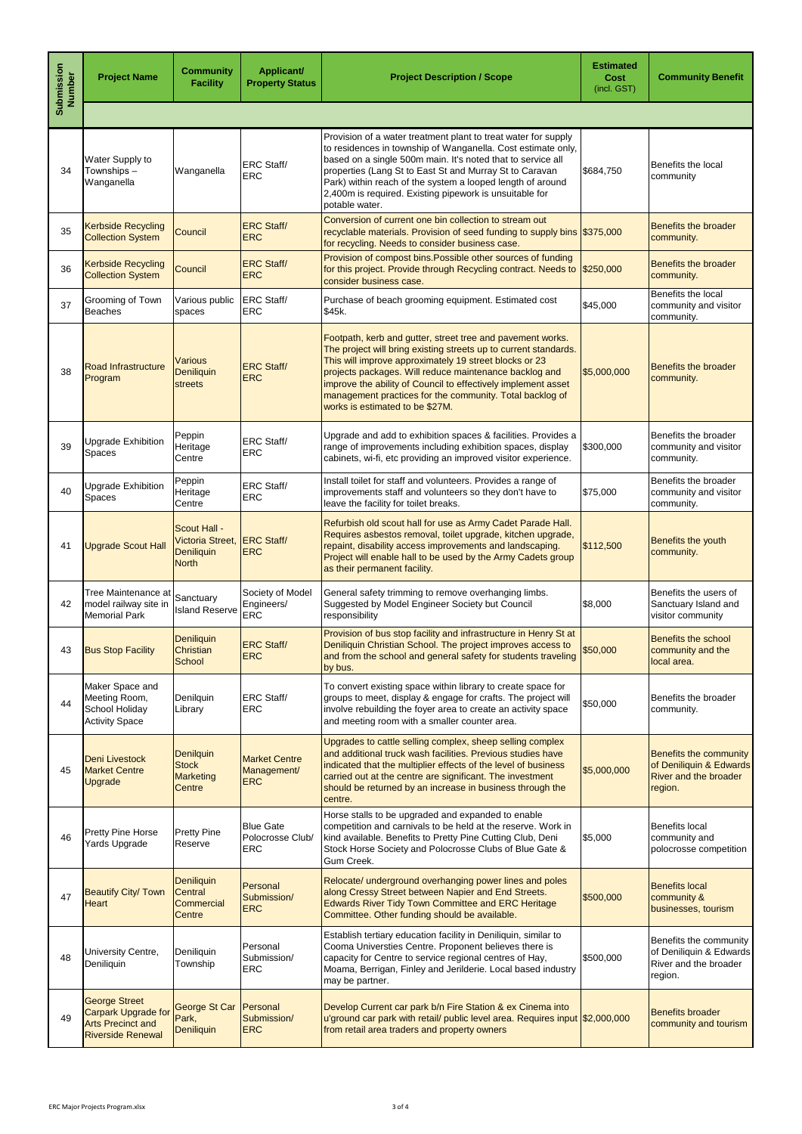| <b>Submission</b><br>Number | <b>Project Name</b>                                                                                        | <b>Community</b><br><b>Facility</b>                            | Applicant/<br><b>Property Status</b>               | <b>Project Description / Scope</b>                                                                                                                                                                                                                                                                                                                                                                                 | <b>Estimated</b><br><b>Cost</b><br>(incl. GST) | <b>Community Benefit</b>                                                                            |
|-----------------------------|------------------------------------------------------------------------------------------------------------|----------------------------------------------------------------|----------------------------------------------------|--------------------------------------------------------------------------------------------------------------------------------------------------------------------------------------------------------------------------------------------------------------------------------------------------------------------------------------------------------------------------------------------------------------------|------------------------------------------------|-----------------------------------------------------------------------------------------------------|
|                             |                                                                                                            |                                                                |                                                    |                                                                                                                                                                                                                                                                                                                                                                                                                    |                                                |                                                                                                     |
| 34                          | Water Supply to<br>Townships-<br>Wanganella                                                                | Wanganella                                                     | <b>ERC Staff/</b><br><b>ERC</b>                    | Provision of a water treatment plant to treat water for supply<br>to residences in township of Wanganella. Cost estimate only,<br>based on a single 500m main. It's noted that to service all<br>properties (Lang St to East St and Murray St to Caravan<br>Park) within reach of the system a looped length of around<br>2,400m is required. Existing pipework is unsuitable for<br>potable water.                | \$684,750                                      | Benefits the local<br>community                                                                     |
| 35                          | <b>Kerbside Recycling</b><br><b>Collection System</b>                                                      | Council                                                        | <b>ERC Staff/</b><br><b>ERC</b>                    | Conversion of current one bin collection to stream out<br>recyclable materials. Provision of seed funding to supply bins \$375,000<br>for recycling. Needs to consider business case.                                                                                                                                                                                                                              |                                                | <b>Benefits the broader</b><br>community.                                                           |
| 36                          | <b>Kerbside Recycling</b><br><b>Collection System</b>                                                      | Council                                                        | <b>ERC Staff/</b><br><b>ERC</b>                    | Provision of compost bins. Possible other sources of funding<br>for this project. Provide through Recycling contract. Needs to \$250,000<br>consider business case.                                                                                                                                                                                                                                                |                                                | <b>Benefits the broader</b><br>community.                                                           |
| 37                          | Grooming of Town<br><b>Beaches</b>                                                                         | Various public<br>spaces                                       | <b>ERC Staff/</b><br><b>ERC</b>                    | Purchase of beach grooming equipment. Estimated cost<br>\$45k.                                                                                                                                                                                                                                                                                                                                                     | \$45,000                                       | Benefits the local<br>community and visitor<br>community.                                           |
| 38                          | <b>Road Infrastructure</b><br>Program                                                                      | <b>Various</b><br><b>Deniliquin</b><br>streets                 | <b>ERC Staff/</b><br><b>ERC</b>                    | Footpath, kerb and gutter, street tree and pavement works.<br>The project will bring existing streets up to current standards.<br>This will improve approximately 19 street blocks or 23<br>projects packages. Will reduce maintenance backlog and<br>improve the ability of Council to effectively implement asset<br>management practices for the community. Total backlog of<br>works is estimated to be \$27M. | \$5,000,000                                    | <b>Benefits the broader</b><br>community.                                                           |
| 39                          | <b>Upgrade Exhibition</b><br><b>Spaces</b>                                                                 | Peppin<br>Heritage<br>Centre                                   | <b>ERC Staff/</b><br><b>ERC</b>                    | Upgrade and add to exhibition spaces & facilities. Provides a<br>range of improvements including exhibition spaces, display<br>cabinets, wi-fi, etc providing an improved visitor experience.                                                                                                                                                                                                                      | \$300,000                                      | Benefits the broader<br>community and visitor<br>community.                                         |
| 40                          | <b>Upgrade Exhibition</b><br><b>Spaces</b>                                                                 | Peppin<br>Heritage<br>Centre                                   | <b>ERC Staff/</b><br><b>ERC</b>                    | Install toilet for staff and volunteers. Provides a range of<br>improvements staff and volunteers so they don't have to<br>leave the facility for toilet breaks.                                                                                                                                                                                                                                                   | \$75,000                                       | Benefits the broader<br>community and visitor<br>community.                                         |
| 41                          | <b>Upgrade Scout Hall</b>                                                                                  | Scout Hall -<br>Victoria Street,<br>Deniliquin<br><b>North</b> | <b>ERC Staff/</b><br><b>ERC</b>                    | Refurbish old scout hall for use as Army Cadet Parade Hall.<br>Requires asbestos removal, toilet upgrade, kitchen upgrade,<br>repaint, disability access improvements and landscaping.<br>Project will enable hall to be used by the Army Cadets group<br>as their permanent facility.                                                                                                                             | \$112,500                                      | Benefits the youth<br>community.                                                                    |
| 42                          | Tree Maintenance at<br>model railway site in<br><b>Memorial Park</b>                                       | Sanctuary<br><b>Island Reserve</b>                             | Society of Model<br>Engineers/<br><b>ERC</b>       | General safety trimming to remove overhanging limbs.<br>Suggested by Model Engineer Society but Council<br>responsibility                                                                                                                                                                                                                                                                                          | \$8,000                                        | Benefits the users of<br>Sanctuary Island and<br>visitor community                                  |
| 43                          | <b>Bus Stop Facility</b>                                                                                   | Deniliquin<br><b>Christian</b><br>School                       | <b>ERC Staff/</b><br><b>ERC</b>                    | Provision of bus stop facility and infrastructure in Henry St at<br>Deniliquin Christian School. The project improves access to<br>and from the school and general safety for students traveling<br>by bus.                                                                                                                                                                                                        | \$50,000                                       | <b>Benefits the school</b><br>community and the<br>local area.                                      |
| 44                          | Maker Space and<br>Meeting Room,<br>School Holiday<br><b>Activity Space</b>                                | Denilquin<br>Library                                           | <b>ERC Staff/</b><br><b>ERC</b>                    | To convert existing space within library to create space for<br>groups to meet, display & engage for crafts. The project will<br>involve rebuilding the foyer area to create an activity space<br>and meeting room with a smaller counter area.                                                                                                                                                                    | \$50,000                                       | Benefits the broader<br>community.                                                                  |
| 45                          | Deni Livestock<br><b>Market Centre</b><br><b>Upgrade</b>                                                   | Denilquin<br><b>Stock</b><br>Marketing<br><b>Centre</b>        | <b>Market Centre</b><br>Management/<br><b>ERC</b>  | Upgrades to cattle selling complex, sheep selling complex<br>and additional truck wash facilities. Previous studies have<br>indicated that the multiplier effects of the level of business<br>carried out at the centre are significant. The investment<br>should be returned by an increase in business through the<br>centre.                                                                                    | \$5,000,000                                    | <b>Benefits the community</b><br>of Deniliquin & Edwards<br><b>River and the broader</b><br>region. |
| 46                          | <b>Pretty Pine Horse</b><br><b>Yards Upgrade</b>                                                           | <b>Pretty Pine</b><br>Reserve                                  | <b>Blue Gate</b><br>Polocrosse Club/<br><b>ERC</b> | Horse stalls to be upgraded and expanded to enable<br>competition and carnivals to be held at the reserve. Work in<br>kind available. Benefits to Pretty Pine Cutting Club, Deni<br>Stock Horse Society and Polocrosse Clubs of Blue Gate &<br>Gum Creek.                                                                                                                                                          | \$5,000                                        | <b>Benefits local</b><br>community and<br>polocrosse competition                                    |
| 47                          | <b>Beautify City/ Town</b><br><b>Heart</b>                                                                 | Deniliquin<br>Central<br>Commercial<br><b>Centre</b>           | Personal<br>Submission/<br><b>ERC</b>              | Relocate/ underground overhanging power lines and poles<br>along Cressy Street between Napier and End Streets.<br><b>Edwards River Tidy Town Committee and ERC Heritage</b><br>Committee. Other funding should be available.                                                                                                                                                                                       | \$500,000                                      | <b>Benefits local</b><br>community &<br>businesses, tourism                                         |
| 48                          | University Centre,<br>Deniliquin                                                                           | Deniliquin<br>Township                                         | Personal<br>Submission/<br><b>ERC</b>              | Establish tertiary education facility in Deniliquin, similar to<br>Cooma Universties Centre. Proponent believes there is<br>capacity for Centre to service regional centres of Hay,<br>Moama, Berrigan, Finley and Jerilderie. Local based industry<br>may be partner.                                                                                                                                             | \$500,000                                      | Benefits the community<br>of Deniliquin & Edwards<br>River and the broader<br>region.               |
| 49                          | <b>George Street</b><br><b>Carpark Upgrade for</b><br><b>Arts Precinct and</b><br><b>Riverside Renewal</b> | <b>George St Car</b><br>Park,<br>Deniliquin                    | Personal<br>Submission/<br><b>ERC</b>              | Develop Current car park b/n Fire Station & ex Cinema into<br>u'ground car park with retail/ public level area. Requires input \$2,000,000<br>from retail area traders and property owners                                                                                                                                                                                                                         |                                                | <b>Benefits broader</b><br>community and tourism                                                    |